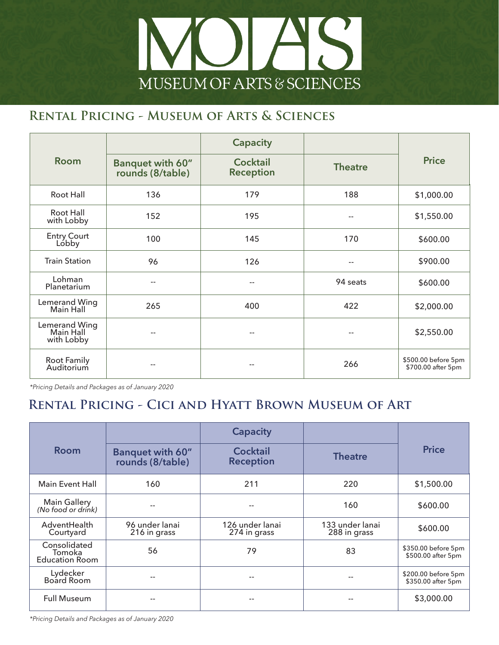

#### **Rental Pricing - Museum of Arts & Sciences**

|                                          |                                      | <b>Capacity</b>                     |                |                                           |
|------------------------------------------|--------------------------------------|-------------------------------------|----------------|-------------------------------------------|
| <b>Room</b>                              | Banquet with 60"<br>rounds (8/table) | <b>Cocktail</b><br><b>Reception</b> | <b>Theatre</b> | <b>Price</b>                              |
| Root Hall                                | 136                                  | 179                                 | 188            | \$1,000.00                                |
| Root Hall<br>with Lobby                  | 152                                  | 195                                 | $-$            | \$1,550.00                                |
| <b>Entry Court</b><br>Lóbby              | 100                                  | 145                                 | 170            | \$600.00                                  |
| <b>Train Station</b>                     | 96                                   | 126                                 | --             | \$900.00                                  |
| Lohman<br>Planetarium                    | $-$                                  | --                                  | 94 seats       | \$600.00                                  |
| Lemerand Wing<br>Main Hall               | 265                                  | 400                                 | 422            | \$2,000.00                                |
| Lemerand Wing<br>Main Hall<br>with Lobby | $-$                                  | --                                  | --             | \$2,550.00                                |
| Root Family<br>Auditorium                |                                      |                                     | 266            | \$500.00 before 5pm<br>\$700.00 after 5pm |

*\*Pricing Details and Packages as of January 2020*

### **Rental Pricing - Cici and Hyatt Brown Museum of Art**

| <b>Room</b>                                     |                                             | <b>Capacity</b>                     |                                 | <b>Price</b>                              |
|-------------------------------------------------|---------------------------------------------|-------------------------------------|---------------------------------|-------------------------------------------|
|                                                 | <b>Banquet with 60"</b><br>rounds (8/table) | <b>Cocktail</b><br><b>Reception</b> | <b>Theatre</b>                  |                                           |
| <b>Main Event Hall</b>                          | 160                                         | 211                                 | 220                             | \$1,500.00                                |
| <b>Main Gallery</b><br>(No food or drink)       |                                             |                                     | 160                             | \$600.00                                  |
| AdventHealth<br>Courtyard                       | 96 under lanai<br>216 in grass              | 126 under lanai<br>274 in grass     | 133 under lanai<br>288 in grass | \$600.00                                  |
| Consolidated<br>Tomoka<br><b>Education Room</b> | 56                                          | 79                                  | 83                              | \$350.00 before 5pm<br>\$500.00 after 5pm |
| Lydecker<br>Board Room                          | --                                          | $- -$                               | $- -$                           | \$200.00 before 5pm<br>\$350.00 after 5pm |
| <b>Full Museum</b>                              |                                             |                                     |                                 | \$3,000.00                                |

*\*Pricing Details and Packages as of January 2020*